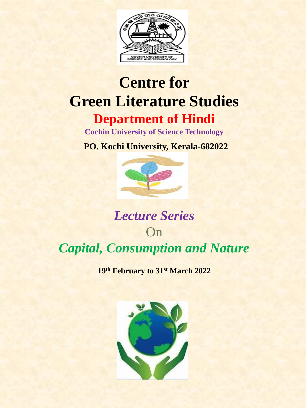

# **Centre for Green Literature Studies**

### **Department of Hindi**

**Cochin University of Science Technology**

**PO. Kochi University, Kerala-682022**



## *Lecture Series* On *Capital, Consumption and Nature*

**19th February to 31st March 2022**

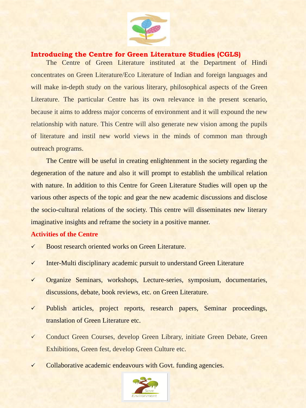

#### **Introducing the Centre for Green Literature Studies (CGLS)**

The Centre of Green Literature instituted at the Department of Hindi concentrates on Green Literature/Eco Literature of Indian and foreign languages and will make in-depth study on the various literary, philosophical aspects of the Green Literature. The particular Centre has its own relevance in the present scenario, because it aims to address major concerns of environment and it will expound the new relationship with nature. This Centre will also generate new vision among the pupils of literature and instil new world views in the minds of common man through outreach programs.

The Centre will be useful in creating enlightenment in the society regarding the degeneration of the nature and also it will prompt to establish the umbilical relation with nature. In addition to this Centre for Green Literature Studies will open up the various other aspects of the topic and gear the new academic discussions and disclose the socio-cultural relations of the society. This centre will disseminates new literary imaginative insights and reframe the society in a positive manner.

#### **Activities of the Centre**

- Boost research oriented works on Green Literature.
- ✓ Inter-Multi disciplinary academic pursuit to understand Green Literature
- ✓ Organize Seminars, workshops, Lecture-series, symposium, documentaries, discussions, debate, book reviews, etc. on Green Literature.
- $\checkmark$  Publish articles, project reports, research papers, Seminar proceedings, translation of Green Literature etc.
- ✓ Conduct Green Courses, develop Green Library, initiate Green Debate, Green Exhibitions, Green fest, develop Green Culture etc.
- $\checkmark$  Collaborative academic endeavours with Govt. funding agencies.

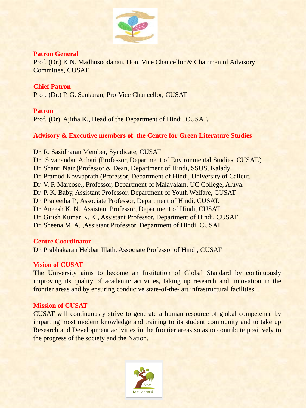

#### **Patron General**

Prof. (Dr.) K.N. Madhusoodanan, Hon. Vice Chancellor & Chairman of Advisory Committee, CUSAT

#### **Chief Patron**

Prof. (Dr.) P. G. Sankaran, Pro-Vice Chancellor, CUSAT

#### **Patron**

Prof. **(**Dr). Ajitha K., Head of the Department of Hindi, CUSAT.

#### **Advisory & Executive members of the Centre for Green Literature Studies**

Dr. R. Sasidharan Member, Syndicate, CUSAT Dr. Sivanandan Achari (Professor, Department of Environmental Studies, CUSAT.) Dr. Shanti Nair (Professor & Dean, Department of Hindi, SSUS, Kalady Dr. Pramod Kovvaprath (Professor, Department of Hindi, University of Calicut. Dr. V. P. Marcose., Professor, Department of Malayalam, UC College, Aluva. Dr. P. K. Baby, Assistant Professor, Department of Youth Welfare, CUSAT Dr. Praneetha P., Associate Professor, Department of Hindi, CUSAT. Dr. Aneesh K. N., Assistant Professor, Department of Hindi, CUSAT Dr. Girish Kumar K. K., Assistant Professor, Department of Hindi, CUSAT Dr. Sheena M. A. ,Assistant Professor, Department of Hindi, CUSAT

#### **Centre Coordinator**

Dr. Prabhakaran Hebbar Illath, Associate Professor of Hindi, CUSAT

#### **Vision of CUSAT**

The University aims to become an Institution of Global Standard by continuously improving its quality of academic activities, taking up research and innovation in the frontier areas and by ensuring conducive state-of-the- art infrastructural facilities.

#### **Mission of CUSAT**

CUSAT will continuously strive to generate a human resource of global competence by imparting most modern knowledge and training to its student community and to take up Research and Development activities in the frontier areas so as to contribute positively to the progress of the society and the Nation.